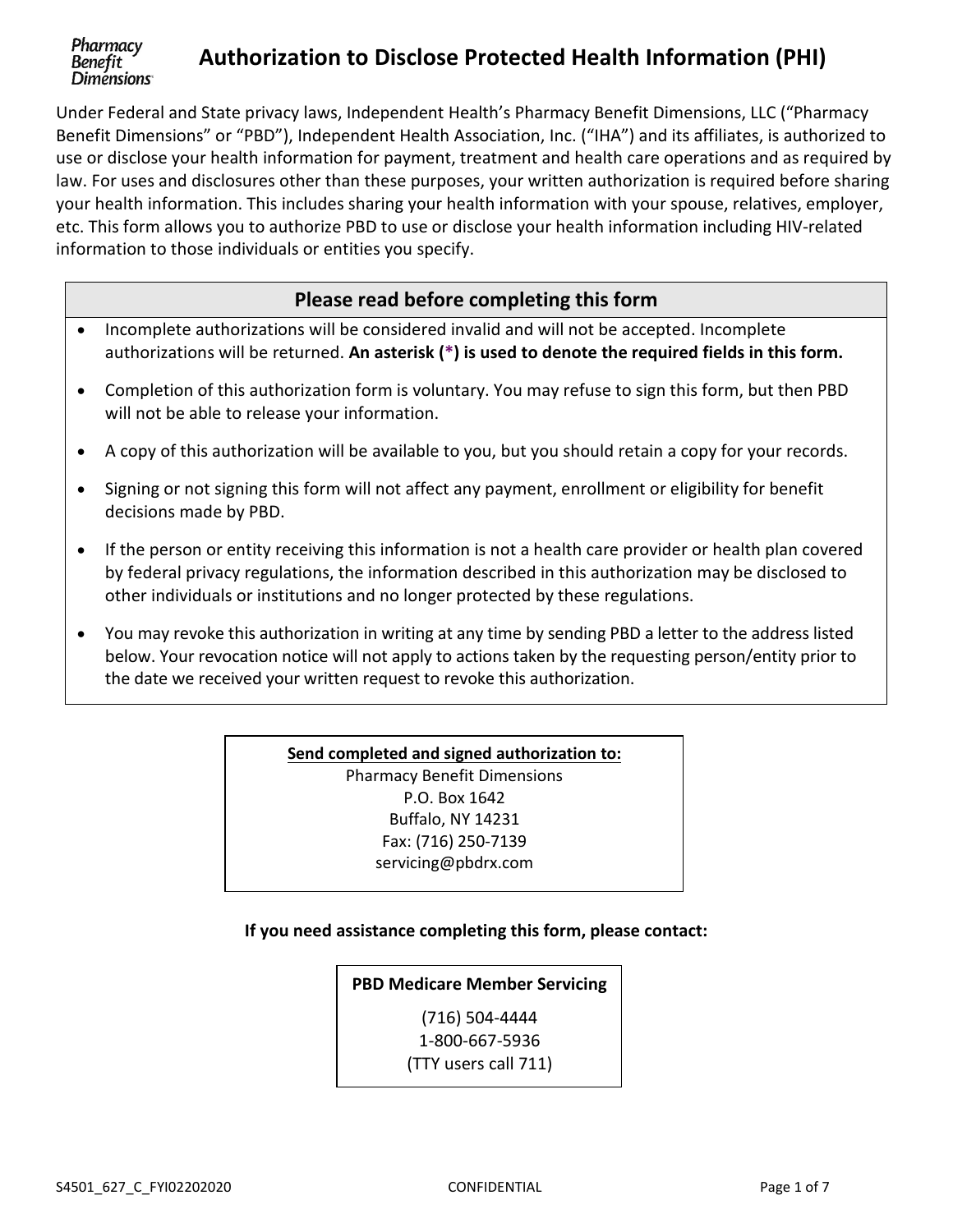#### Pharmacy **Authorization to Disclose Protected Health Information (PHI)**  Benefit **Diménsions**

Under Federal and State privacy laws, Independent Health's Pharmacy Benefit Dimensions, LLC ("Pharmacy Benefit Dimensions" or "PBD"), Independent Health Association, Inc. ("IHA") and its affiliates, is authorized to use or disclose your health information for payment, treatment and health care operations and as required by law. For uses and disclosures other than these purposes, your written authorization is required before sharing your health information. This includes sharing your health information with your spouse, relatives, employer, etc. This form allows you to authorize PBD to use or disclose your health information including HIV-related information to those individuals or entities you specify.

# **Please read before completing this form**

- Incomplete authorizations will be considered invalid and will not be accepted. Incomplete authorizations will be returned. **An asterisk (\*) is used to denote the required fields in this form.**
- Completion of this authorization form is voluntary. You may refuse to sign this form, but then PBD will not be able to release your information.
- A copy of this authorization will be available to you, but you should retain a copy for your records.
- Signing or not signing this form will not affect any payment, enrollment or eligibility for benefit decisions made by PBD.
- If the person or entity receiving this information is not a health care provider or health plan covered by federal privacy regulations, the information described in this authorization may be disclosed to other individuals or institutions and no longer protected by these regulations.
- You may revoke this authorization in writing at any time by sending PBD a letter to the address listed below. Your revocation notice will not apply to actions taken by the requesting person/entity prior to the date we received your written request to revoke this authorization.

# **Send completed and signed authorization to:**  Pharmacy Benefit Dimensions P.O. Box 1642 Buffalo, NY 14231 Fax: (716) 250-7139 servicing@pbdrx.com

# **If you need assistance completing this form, please contact:**

# **PBD Medicare Member Servicing**

(716) 504-4444 1-800-667-5936 (TTY users call 711)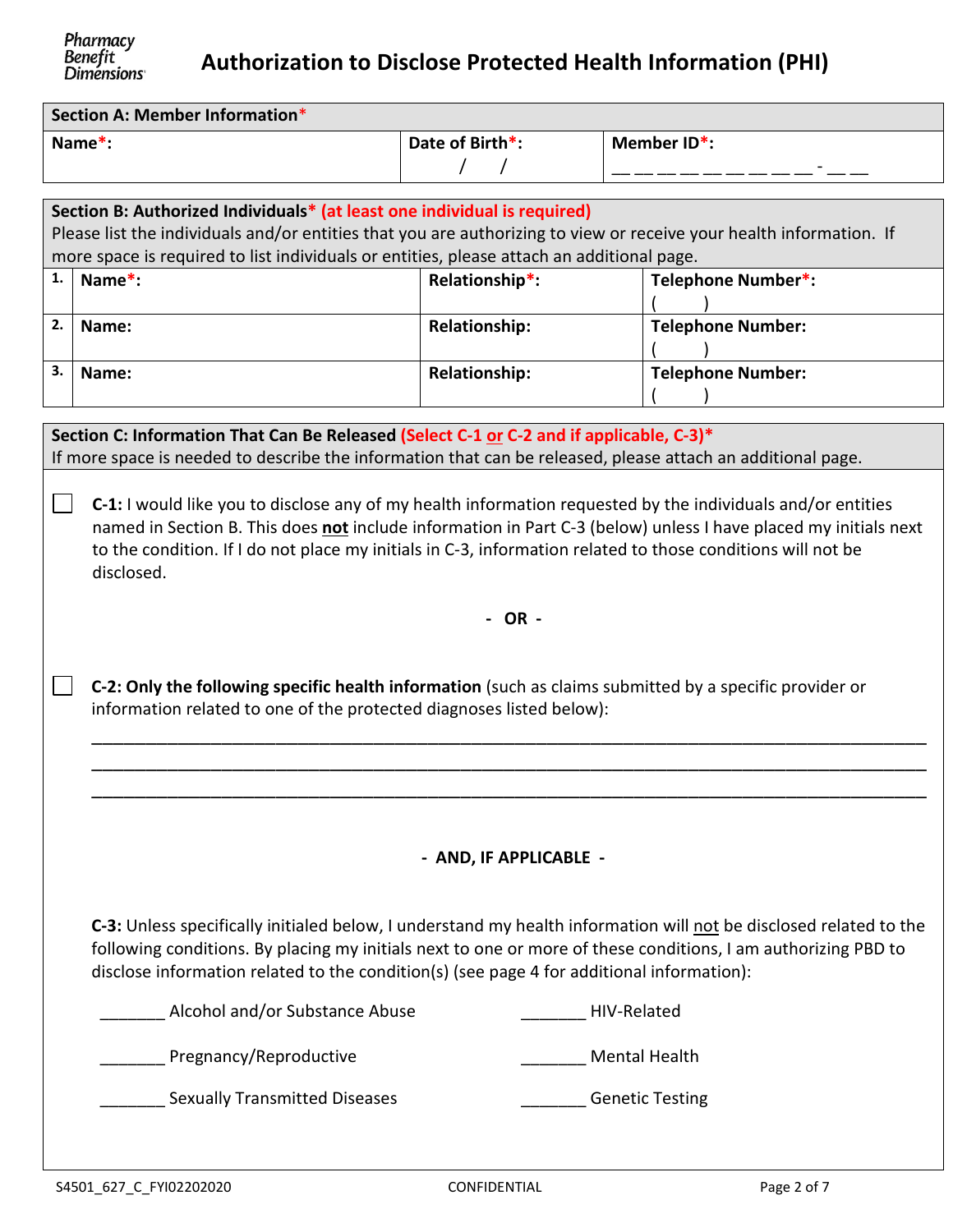# **Authorization to Disclose Protected Health Information (PHI)**

| <b>Dimensions</b>                                                                                                                                                                                                                                                                            |                                                                                                                                                                                                                                                                                                                                                                                                                                                                            |                                         |                          |  |  |  |
|----------------------------------------------------------------------------------------------------------------------------------------------------------------------------------------------------------------------------------------------------------------------------------------------|----------------------------------------------------------------------------------------------------------------------------------------------------------------------------------------------------------------------------------------------------------------------------------------------------------------------------------------------------------------------------------------------------------------------------------------------------------------------------|-----------------------------------------|--------------------------|--|--|--|
| Section A: Member Information*                                                                                                                                                                                                                                                               |                                                                                                                                                                                                                                                                                                                                                                                                                                                                            |                                         |                          |  |  |  |
| Name*:                                                                                                                                                                                                                                                                                       |                                                                                                                                                                                                                                                                                                                                                                                                                                                                            | Date of Birth*:<br>$\prime$<br>$\prime$ | Member ID*:              |  |  |  |
| Section B: Authorized Individuals* (at least one individual is required)<br>Please list the individuals and/or entities that you are authorizing to view or receive your health information. If<br>more space is required to list individuals or entities, please attach an additional page. |                                                                                                                                                                                                                                                                                                                                                                                                                                                                            |                                         |                          |  |  |  |
| 1.                                                                                                                                                                                                                                                                                           | Name*:                                                                                                                                                                                                                                                                                                                                                                                                                                                                     | Relationship*:                          | Telephone Number*:       |  |  |  |
| 2.                                                                                                                                                                                                                                                                                           | Name:                                                                                                                                                                                                                                                                                                                                                                                                                                                                      | <b>Relationship:</b>                    | <b>Telephone Number:</b> |  |  |  |
| 3.                                                                                                                                                                                                                                                                                           | Name:                                                                                                                                                                                                                                                                                                                                                                                                                                                                      | <b>Relationship:</b>                    | <b>Telephone Number:</b> |  |  |  |
|                                                                                                                                                                                                                                                                                              | If more space is needed to describe the information that can be released, please attach an additional page.<br>C-1: I would like you to disclose any of my health information requested by the individuals and/or entities<br>named in Section B. This does not include information in Part C-3 (below) unless I have placed my initials next<br>to the condition. If I do not place my initials in C-3, information related to those conditions will not be<br>disclosed. |                                         |                          |  |  |  |
|                                                                                                                                                                                                                                                                                              | $-OR -$                                                                                                                                                                                                                                                                                                                                                                                                                                                                    |                                         |                          |  |  |  |
|                                                                                                                                                                                                                                                                                              | C-2: Only the following specific health information (such as claims submitted by a specific provider or<br>information related to one of the protected diagnoses listed below):                                                                                                                                                                                                                                                                                            |                                         |                          |  |  |  |
|                                                                                                                                                                                                                                                                                              |                                                                                                                                                                                                                                                                                                                                                                                                                                                                            |                                         |                          |  |  |  |
|                                                                                                                                                                                                                                                                                              | - AND, IF APPLICABLE -                                                                                                                                                                                                                                                                                                                                                                                                                                                     |                                         |                          |  |  |  |

**C-3:** Unless specifically initialed below, I understand my health information will not be disclosed related to the following conditions. By placing my initials next to one or more of these conditions, I am authorizing PBD to disclose information related to the condition(s) (see page 4 for additional information):

| Alcohol and/or Substance Abuse       | HIV-Related            |
|--------------------------------------|------------------------|
| Pregnancy/Reproductive               | <b>Mental Health</b>   |
| <b>Sexually Transmitted Diseases</b> | <b>Genetic Testing</b> |
|                                      |                        |

Pharmacy<br>Benefit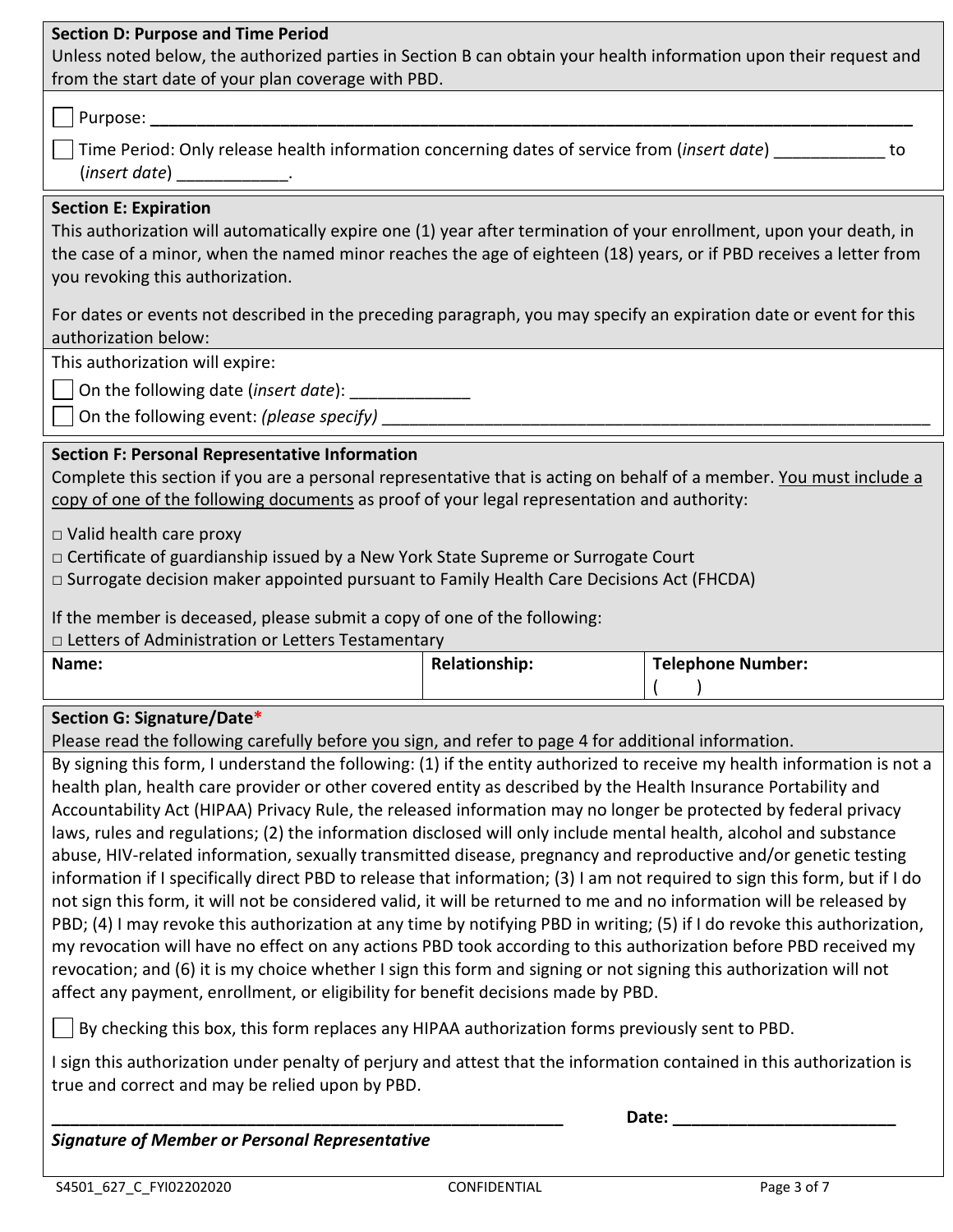### **Section D: Purpose and Time Period**

Unless noted below, the authorized parties in Section B can obtain your health information upon their request and from the start date of your plan coverage with PBD.

# Purpose: **\_\_\_\_\_\_\_\_\_\_\_\_\_\_\_\_\_\_\_\_\_\_\_\_\_\_\_\_\_\_\_\_\_\_\_\_\_\_\_\_\_\_\_\_\_\_\_\_\_\_\_\_\_\_\_\_\_\_\_\_\_\_\_\_\_\_\_\_\_\_\_\_\_\_\_\_\_\_\_\_\_\_**

| $\vert\;\;\vert$ Time Period: Only release health information concerning dates of service from (insert date) |  |
|--------------------------------------------------------------------------------------------------------------|--|
| (insert date)                                                                                                |  |

#### **Section E: Expiration**

This authorization will automatically expire one (1) year after termination of your enrollment, upon your death, in the case of a minor, when the named minor reaches the age of eighteen (18) years, or if PBD receives a letter from you revoking this authorization.

For dates or events not described in the preceding paragraph, you may specify an expiration date or event for this authorization below:

This authorization will expire:

On the following date (*insert date*): \_\_\_\_\_\_\_\_\_\_\_\_\_

On the following event: *(please specify)* \_\_\_\_\_\_\_\_\_\_\_\_\_\_\_\_\_\_\_\_\_\_\_\_\_\_\_\_\_\_\_\_\_\_\_\_\_\_\_\_\_\_\_\_\_\_\_\_\_\_\_\_\_\_\_\_\_\_\_

# **Section F: Personal Representative Information**

Complete this section if you are a personal representative that is acting on behalf of a member. You must include a copy of one of the following documents as proof of your legal representation and authority:

□ Valid health care proxy

□ Certificate of guardianship issued by a New York State Supreme or Surrogate Court

□ Surrogate decision maker appointed pursuant to Family Health Care Decisions Act (FHCDA)

If the member is deceased, please submit a copy of one of the following:

*□* Letters of Administration or Letters Testamentary

| Name: | ationship: | <b>Felephone Number:</b> |
|-------|------------|--------------------------|
|       |            |                          |
|       |            |                          |

# **Section G: Signature/Date\***

Please read the following carefully before you sign, and refer to page 4 for additional information.

By signing this form, I understand the following: (1) if the entity authorized to receive my health information is not a health plan, health care provider or other covered entity as described by the Health Insurance Portability and Accountability Act (HIPAA) Privacy Rule, the released information may no longer be protected by federal privacy laws, rules and regulations; (2) the information disclosed will only include mental health, alcohol and substance abuse, HIV-related information, sexually transmitted disease, pregnancy and reproductive and/or genetic testing information if I specifically direct PBD to release that information; (3) I am not required to sign this form, but if I do not sign this form, it will not be considered valid, it will be returned to me and no information will be released by PBD; (4) I may revoke this authorization at any time by notifying PBD in writing; (5) if I do revoke this authorization, my revocation will have no effect on any actions PBD took according to this authorization before PBD received my revocation; and (6) it is my choice whether I sign this form and signing or not signing this authorization will not affect any payment, enrollment, or eligibility for benefit decisions made by PBD.

By checking this box, this form replaces any HIPAA authorization forms previously sent to PBD.

I sign this authorization under penalty of perjury and attest that the information contained in this authorization is true and correct and may be relied upon by PBD.

*Signature of Member or Personal Representative* 

**\_\_\_\_\_\_\_\_\_\_\_\_\_\_\_\_\_\_\_\_\_\_\_\_\_\_\_\_\_\_\_\_\_\_\_\_\_\_\_\_\_\_\_\_\_\_\_\_\_\_\_\_\_\_\_ Date: \_\_\_\_\_\_\_\_\_\_\_\_\_\_\_\_\_\_\_\_\_\_\_\_**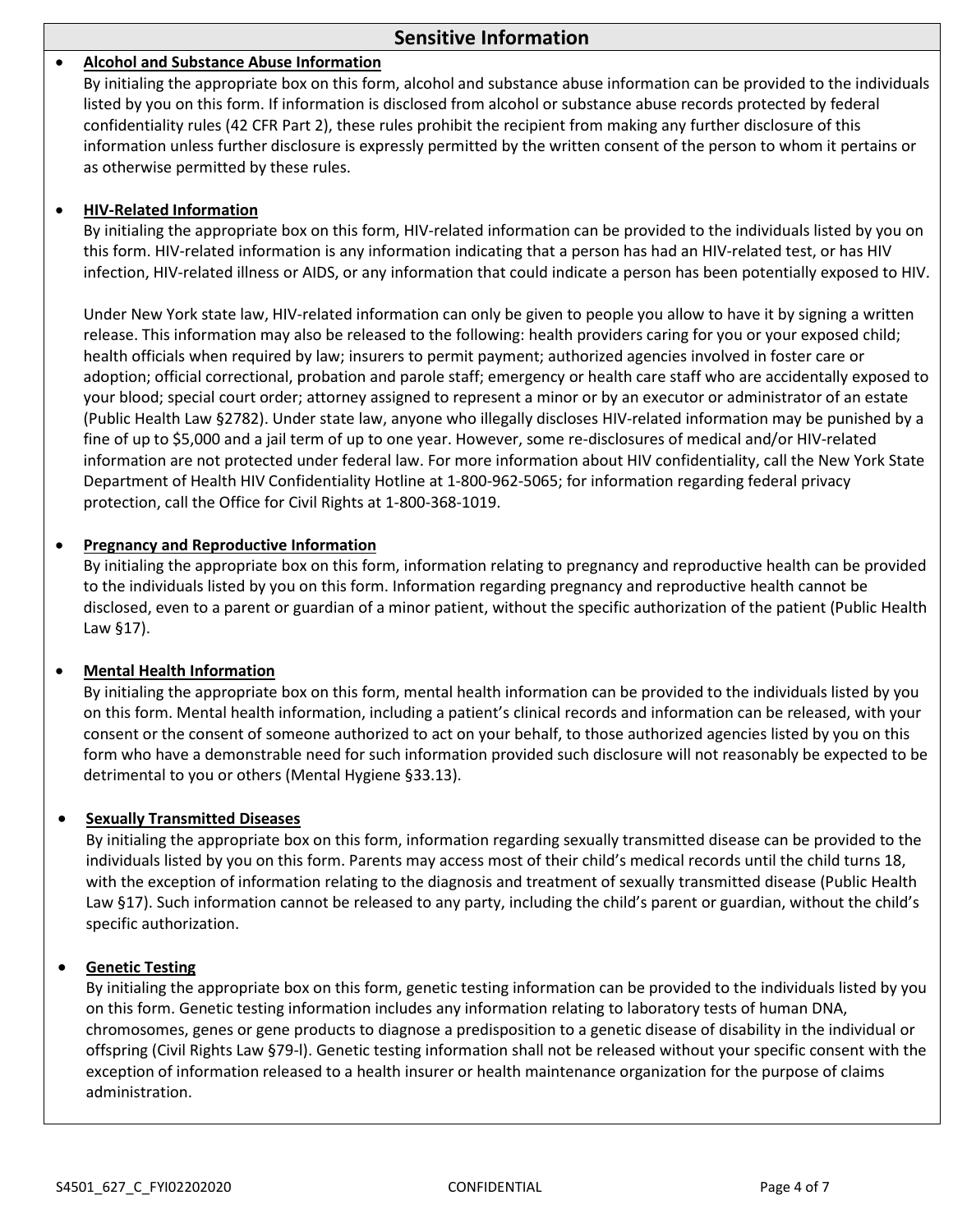# **Sensitive Information**

#### **Alcohol and Substance Abuse Information**

By initialing the appropriate box on this form, alcohol and substance abuse information can be provided to the individuals listed by you on this form. If information is disclosed from alcohol or substance abuse records protected by federal confidentiality rules (42 CFR Part 2), these rules prohibit the recipient from making any further disclosure of this information unless further disclosure is expressly permitted by the written consent of the person to whom it pertains or as otherwise permitted by these rules.

#### **HIV-Related Information**

By initialing the appropriate box on this form, HIV-related information can be provided to the individuals listed by you on this form. HIV-related information is any information indicating that a person has had an HIV-related test, or has HIV infection, HIV-related illness or AIDS, or any information that could indicate a person has been potentially exposed to HIV.

Under New York state law, HIV-related information can only be given to people you allow to have it by signing a written release. This information may also be released to the following: health providers caring for you or your exposed child; health officials when required by law; insurers to permit payment; authorized agencies involved in foster care or adoption; official correctional, probation and parole staff; emergency or health care staff who are accidentally exposed to your blood; special court order; attorney assigned to represent a minor or by an executor or administrator of an estate (Public Health Law §2782). Under state law, anyone who illegally discloses HIV-related information may be punished by a fine of up to \$5,000 and a jail term of up to one year. However, some re-disclosures of medical and/or HIV-related information are not protected under federal law. For more information about HIV confidentiality, call the New York State Department of Health HIV Confidentiality Hotline at 1-800-962-5065; for information regarding federal privacy protection, call the Office for Civil Rights at 1-800-368-1019.

#### **Pregnancy and Reproductive Information**

By initialing the appropriate box on this form, information relating to pregnancy and reproductive health can be provided to the individuals listed by you on this form. Information regarding pregnancy and reproductive health cannot be disclosed, even to a parent or guardian of a minor patient, without the specific authorization of the patient (Public Health Law §17).

#### **Mental Health Information**

By initialing the appropriate box on this form, mental health information can be provided to the individuals listed by you on this form. Mental health information, including a patient's clinical records and information can be released, with your consent or the consent of someone authorized to act on your behalf, to those authorized agencies listed by you on this form who have a demonstrable need for such information provided such disclosure will not reasonably be expected to be detrimental to you or others (Mental Hygiene §33.13).

#### **Sexually Transmitted Diseases**

By initialing the appropriate box on this form, information regarding sexually transmitted disease can be provided to the individuals listed by you on this form. Parents may access most of their child's medical records until the child turns 18, with the exception of information relating to the diagnosis and treatment of sexually transmitted disease (Public Health Law §17). Such information cannot be released to any party, including the child's parent or guardian, without the child's specific authorization.

#### **Genetic Testing**

By initialing the appropriate box on this form, genetic testing information can be provided to the individuals listed by you on this form. Genetic testing information includes any information relating to laboratory tests of human DNA, chromosomes, genes or gene products to diagnose a predisposition to a genetic disease of disability in the individual or offspring (Civil Rights Law §79-l). Genetic testing information shall not be released without your specific consent with the exception of information released to a health insurer or health maintenance organization for the purpose of claims administration.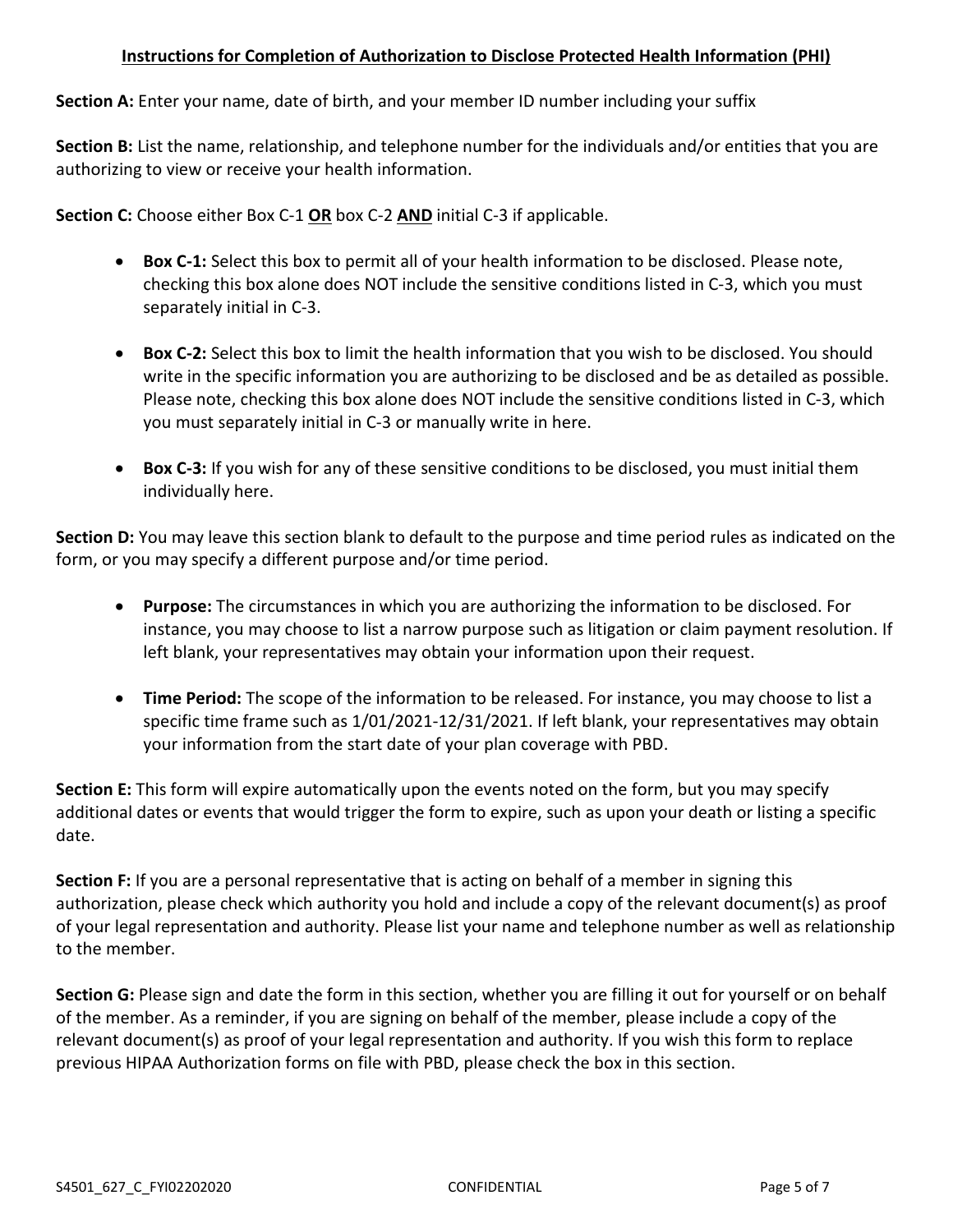# **Instructions for Completion of Authorization to Disclose Protected Health Information (PHI)**

**Section A:** Enter your name, date of birth, and your member ID number including your suffix

**Section B:** List the name, relationship, and telephone number for the individuals and/or entities that you are authorizing to view or receive your health information.

**Section C:** Choose either Box C-1 **OR** box C-2 **AND** initial C-3 if applicable.

- **Box C-1:** Select this box to permit all of your health information to be disclosed. Please note, checking this box alone does NOT include the sensitive conditions listed in C-3, which you must separately initial in C-3.
- **Box C-2:** Select this box to limit the health information that you wish to be disclosed. You should write in the specific information you are authorizing to be disclosed and be as detailed as possible. Please note, checking this box alone does NOT include the sensitive conditions listed in C-3, which you must separately initial in C-3 or manually write in here.
- **Box C-3:** If you wish for any of these sensitive conditions to be disclosed, you must initial them individually here.

**Section D:** You may leave this section blank to default to the purpose and time period rules as indicated on the form, or you may specify a different purpose and/or time period.

- **Purpose:** The circumstances in which you are authorizing the information to be disclosed. For instance, you may choose to list a narrow purpose such as litigation or claim payment resolution. If left blank, your representatives may obtain your information upon their request.
- **Time Period:** The scope of the information to be released. For instance, you may choose to list a specific time frame such as 1/01/2021-12/31/2021. If left blank, your representatives may obtain your information from the start date of your plan coverage with PBD.

**Section E:** This form will expire automatically upon the events noted on the form, but you may specify additional dates or events that would trigger the form to expire, such as upon your death or listing a specific date.

**Section F:** If you are a personal representative that is acting on behalf of a member in signing this authorization, please check which authority you hold and include a copy of the relevant document(s) as proof of your legal representation and authority. Please list your name and telephone number as well as relationship to the member.

**Section G:** Please sign and date the form in this section, whether you are filling it out for yourself or on behalf of the member. As a reminder, if you are signing on behalf of the member, please include a copy of the relevant document(s) as proof of your legal representation and authority. If you wish this form to replace previous HIPAA Authorization forms on file with PBD, please check the box in this section.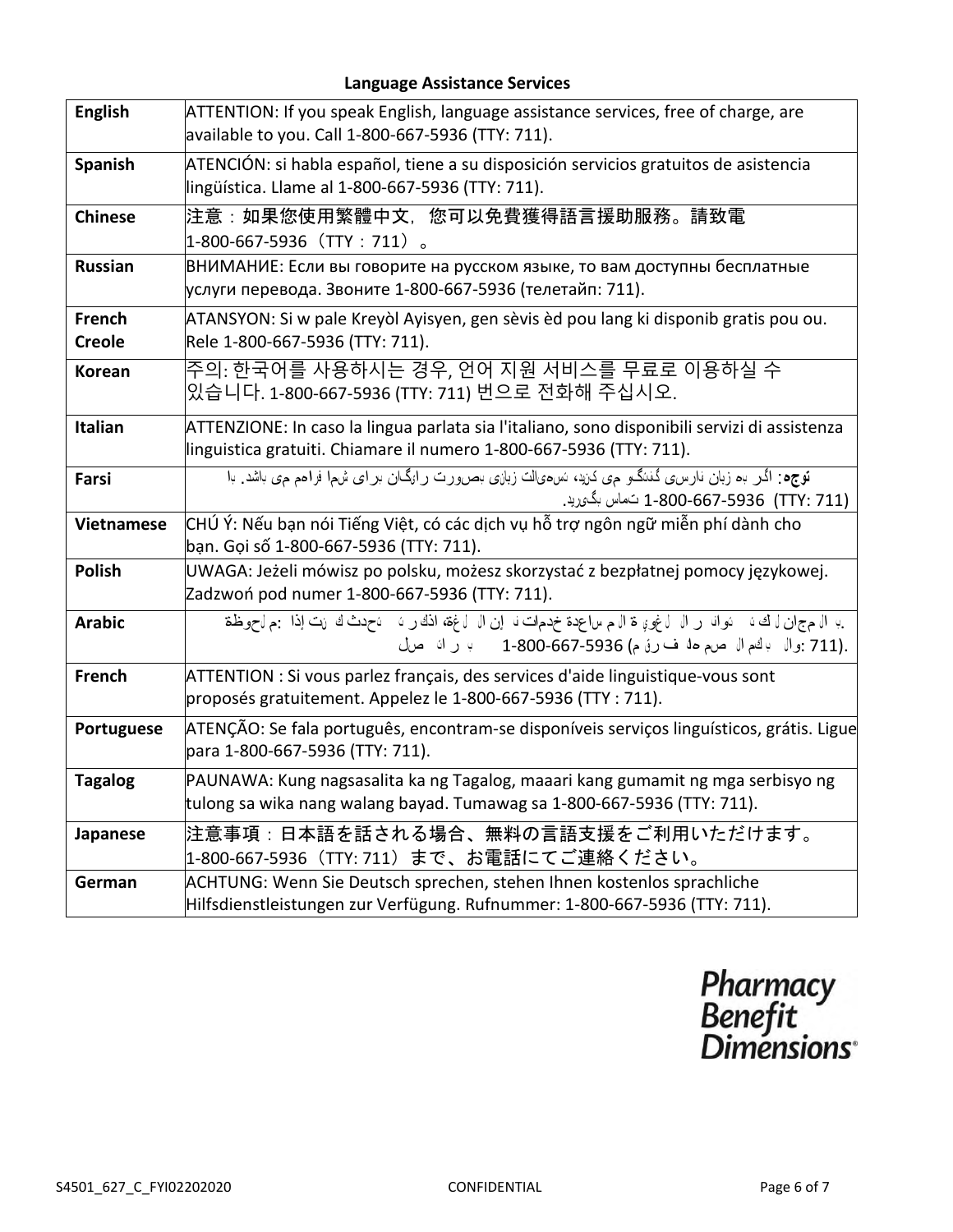# **Language Assistance Services**

| <b>English</b>          | ATTENTION: If you speak English, language assistance services, free of charge, are<br>available to you. Call 1-800-667-5936 (TTY: 711).                              |
|-------------------------|----------------------------------------------------------------------------------------------------------------------------------------------------------------------|
| Spanish                 | ATENCIÓN: si habla español, tiene a su disposición servicios gratuitos de asistencia<br>lingüística. Llame al 1-800-667-5936 (TTY: 711).                             |
| <b>Chinese</b>          | 注意:如果您使用繁體中文,您可以免費獲得語言援助服務。請致電<br>$1-800-667-5936$ (TTY: 711) 。                                                                                                      |
| <b>Russian</b>          | ВНИМАНИЕ: Если вы говорите на русском языке, то вам доступны бесплатные<br>услуги перевода. Звоните 1-800-667-5936 (телетайп: 711).                                  |
| French<br><b>Creole</b> | ATANSYON: Si w pale Kreyòl Ayisyen, gen sèvis èd pou lang ki disponib gratis pou ou.<br>Rele 1-800-667-5936 (TTY: 711).                                              |
| <b>Korean</b>           | 주의: 한국어를 사용하시는 경우, 언어 지원 서비스를 무료로 이용하실 수<br>있습니다. 1-800-667-5936 (TTY: 711) 번으로 전화해 주십시오.                                                                            |
| <b>Italian</b>          | ATTENZIONE: In caso la lingua parlata sia l'italiano, sono disponibili servizi di assistenza<br>linguistica gratuiti. Chiamare il numero 1-800-667-5936 (TTY: 711).  |
| Farsi                   | توجه: اگر به زبان نارس، گننگو می کنید، نسءیالت زبانی بصورت رانگان بر ای شها فرامم می باشد. با<br>(TTY: 711) 75936-667-800-667 نـُماس بگوريد.                         |
| <b>Vietnamese</b>       | CHÚ Ý: Nếu bạn nói Tiếng Việt, có các dịch vụ hỗ trợ ngôn ngữ miễn phí dành cho<br>bạn. Gọi số 1-800-667-5936 (TTY: 711).                                            |
| <b>Polish</b>           | UWAGA: Jeżeli mówisz po polsku, możesz skorzystać z bezpłatnej pomocy językowej.<br>Zadzwoń pod numer 1-800-667-5936 (TTY: 711).                                     |
| <b>Arabic</b>           | ب ال مج ان ل ك ، وال ل ف و ال ل غو، ق الله صاعدة خدمات ل إن ال ل غة، اذك ر ، ل عدث ك انت إذا جم ل حوظة<br>.(711 :وال بالخم ال صرم ها ف رق م) 667-5936-1-800 ب راك صل |
| <b>French</b>           | ATTENTION : Si vous parlez français, des services d'aide linguistique-vous sont<br>proposés gratuitement. Appelez le 1-800-667-5936 (TTY : 711).                     |
| Portuguese              | ATENÇÃO: Se fala português, encontram-se disponíveis serviços linguísticos, grátis. Ligue<br>para 1-800-667-5936 (TTY: 711).                                         |
| <b>Tagalog</b>          | PAUNAWA: Kung nagsasalita ka ng Tagalog, maaari kang gumamit ng mga serbisyo ng<br>tulong sa wika nang walang bayad. Tumawag sa 1-800-667-5936 (TTY: 711).           |
| Japanese                | 注意事項:日本語を話される場合、無料の言語支援をご利用いただけます。<br> 1-800-667-5936(TTY: 711)まで、お電話にてご連絡ください。                                                                                      |
| German                  | ACHTUNG: Wenn Sie Deutsch sprechen, stehen Ihnen kostenlos sprachliche<br>Hilfsdienstleistungen zur Verfügung. Rufnummer: 1-800-667-5936 (TTY: 711).                 |

Pharmacy<br>Benefit<br>Dimensions°